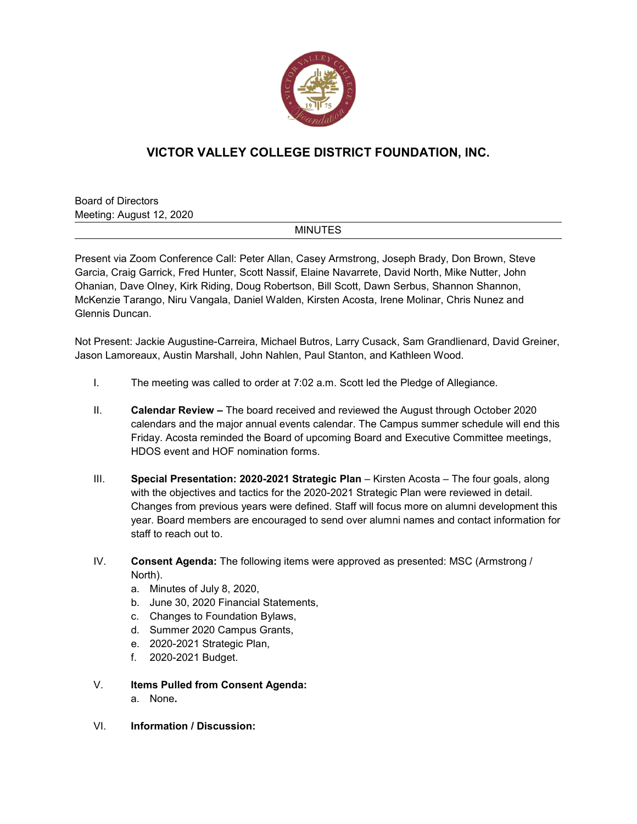

## **VICTOR VALLEY COLLEGE DISTRICT FOUNDATION, INC.**

Board of Directors Meeting: August 12, 2020

## **MINUTES**

Present via Zoom Conference Call: Peter Allan, Casey Armstrong, Joseph Brady, Don Brown, Steve Garcia, Craig Garrick, Fred Hunter, Scott Nassif, Elaine Navarrete, David North, Mike Nutter, John Ohanian, Dave Olney, Kirk Riding, Doug Robertson, Bill Scott, Dawn Serbus, Shannon Shannon, McKenzie Tarango, Niru Vangala, Daniel Walden, Kirsten Acosta, Irene Molinar, Chris Nunez and Glennis Duncan.

Not Present: Jackie Augustine-Carreira, Michael Butros, Larry Cusack, Sam Grandlienard, David Greiner, Jason Lamoreaux, Austin Marshall, John Nahlen, Paul Stanton, and Kathleen Wood.

- I. The meeting was called to order at 7:02 a.m. Scott led the Pledge of Allegiance.
- II. **Calendar Review –** The board received and reviewed the August through October 2020 calendars and the major annual events calendar. The Campus summer schedule will end this Friday. Acosta reminded the Board of upcoming Board and Executive Committee meetings, HDOS event and HOF nomination forms.
- III. **Special Presentation: 2020-2021 Strategic Plan** Kirsten Acosta The four goals, along with the objectives and tactics for the 2020-2021 Strategic Plan were reviewed in detail. Changes from previous years were defined. Staff will focus more on alumni development this year. Board members are encouraged to send over alumni names and contact information for staff to reach out to.
- IV. **Consent Agenda:** The following items were approved as presented: MSC (Armstrong / North).
	- a. Minutes of July 8, 2020,
	- b. June 30, 2020 Financial Statements,
	- c. Changes to Foundation Bylaws,
	- d. Summer 2020 Campus Grants,
	- e. 2020-2021 Strategic Plan,
	- f. 2020-2021 Budget.
- V. **Items Pulled from Consent Agenda:** a. None**.**
- VI. **Information / Discussion:**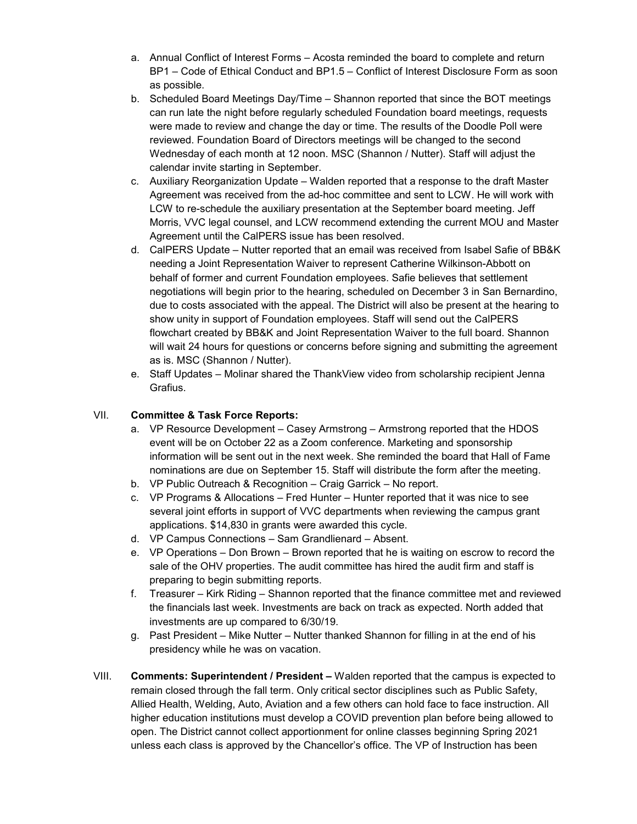- a. Annual Conflict of Interest Forms Acosta reminded the board to complete and return BP1 – Code of Ethical Conduct and BP1.5 – Conflict of Interest Disclosure Form as soon as possible.
- b. Scheduled Board Meetings Day/Time Shannon reported that since the BOT meetings can run late the night before regularly scheduled Foundation board meetings, requests were made to review and change the day or time. The results of the Doodle Poll were reviewed. Foundation Board of Directors meetings will be changed to the second Wednesday of each month at 12 noon. MSC (Shannon / Nutter). Staff will adjust the calendar invite starting in September.
- c. Auxiliary Reorganization Update Walden reported that a response to the draft Master Agreement was received from the ad-hoc committee and sent to LCW. He will work with LCW to re-schedule the auxiliary presentation at the September board meeting. Jeff Morris, VVC legal counsel, and LCW recommend extending the current MOU and Master Agreement until the CalPERS issue has been resolved.
- d. CalPERS Update Nutter reported that an email was received from Isabel Safie of BB&K needing a Joint Representation Waiver to represent Catherine Wilkinson-Abbott on behalf of former and current Foundation employees. Safie believes that settlement negotiations will begin prior to the hearing, scheduled on December 3 in San Bernardino, due to costs associated with the appeal. The District will also be present at the hearing to show unity in support of Foundation employees. Staff will send out the CalPERS flowchart created by BB&K and Joint Representation Waiver to the full board. Shannon will wait 24 hours for questions or concerns before signing and submitting the agreement as is. MSC (Shannon / Nutter).
- e. Staff Updates Molinar shared the ThankView video from scholarship recipient Jenna Grafius.

## VII. **Committee & Task Force Reports:**

- a. VP Resource Development Casey Armstrong Armstrong reported that the HDOS event will be on October 22 as a Zoom conference. Marketing and sponsorship information will be sent out in the next week. She reminded the board that Hall of Fame nominations are due on September 15. Staff will distribute the form after the meeting.
- b. VP Public Outreach & Recognition Craig Garrick No report.
- c. VP Programs & Allocations Fred Hunter Hunter reported that it was nice to see several joint efforts in support of VVC departments when reviewing the campus grant applications. \$14,830 in grants were awarded this cycle.
- d. VP Campus Connections Sam Grandlienard Absent.
- e. VP Operations Don Brown Brown reported that he is waiting on escrow to record the sale of the OHV properties. The audit committee has hired the audit firm and staff is preparing to begin submitting reports.
- f. Treasurer Kirk Riding Shannon reported that the finance committee met and reviewed the financials last week. Investments are back on track as expected. North added that investments are up compared to 6/30/19.
- g. Past President Mike Nutter Nutter thanked Shannon for filling in at the end of his presidency while he was on vacation.
- VIII. **Comments: Superintendent / President –** Walden reported that the campus is expected to remain closed through the fall term. Only critical sector disciplines such as Public Safety, Allied Health, Welding, Auto, Aviation and a few others can hold face to face instruction. All higher education institutions must develop a COVID prevention plan before being allowed to open. The District cannot collect apportionment for online classes beginning Spring 2021 unless each class is approved by the Chancellor's office. The VP of Instruction has been